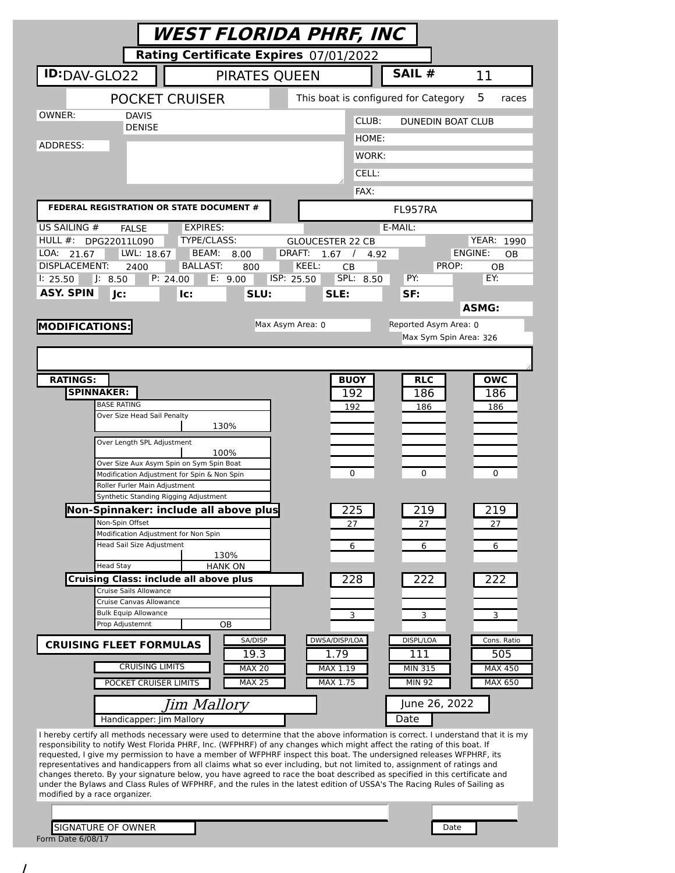| Rating Certificate Expires 07/01/2022<br>SAIL #<br><b>ID:</b> DAV-GLO22<br>PIRATES QUEEN<br>11<br><b>POCKET CRUISER</b><br>This boat is configured for Category<br>5<br>races<br>OWNER:<br><b>DAVIS</b><br>CLUB:<br>DUNEDIN BOAT CLUB<br><b>DENISE</b><br>HOME:<br>ADDRESS:<br>WORK:<br>CELL:<br>FAX:<br>FEDERAL REGISTRATION OR STATE DOCUMENT #<br>FL957RA<br>E-MAIL:<br>US SAILING #<br><b>EXPIRES:</b><br><b>FALSE</b><br>HULL $#$ :<br>TYPE/CLASS:<br>YEAR: 1990<br>DPG22011L090<br><b>GLOUCESTER 22 CB</b><br>LOA:<br>LWL: 18.67<br>BEAM:<br>DRAFT:<br><b>ENGINE:</b><br>21.67<br>8.00<br>1.67<br>$\sqrt{ }$<br><b>OB</b><br>4.92<br><b>DISPLACEMENT:</b><br>KEEL:<br><b>BALLAST:</b><br>PROP:<br>2400<br><b>CB</b><br>800<br>OВ<br>SPL: 8.50<br>PY:<br>EY:<br>P: 24.00<br>E: 9.00<br>ISP: 25.50<br>1: 25.50<br>J: 8.50<br><b>ASY. SPIN</b><br>Jc:<br>SLU:<br>SLE:<br>SF:<br>lc:<br><b>ASMG:</b><br><b>MODIFICATIONS:</b><br>Max Asym Area: 0<br>Reported Asym Area: 0<br>Max Sym Spin Area: 326<br><b>RATINGS:</b><br><b>BUOY</b><br><b>OWC</b><br><b>RLC</b><br><b>SPINNAKER:</b><br>192<br>186<br>186<br><b>BASE RATING</b><br>192<br>186<br>186<br>Over Size Head Sail Penalty<br>130%<br>Over Length SPL Adjustment<br>100%<br>Over Size Aux Asym Spin on Sym Spin Boat<br>0<br>$\Omega$<br>0<br>Modification Adjustment for Spin & Non Spin<br>Roller Furler Main Adjustment<br>Synthetic Standing Rigging Adjustment<br>225<br>Non-Spinnaker: include all above plus<br>219<br>219<br>Non-Spin Offset<br>27<br>27<br>27<br>Modification Adjustment for Non Spin<br>Head Sail Size Adjustment<br>6<br>6<br>6<br>130%<br><b>Head Stay</b><br><b>HANK ON</b><br><b>Cruising Class: include all above plus</b><br>228<br>222<br>222<br>Cruise Sails Allowance<br>Cruise Canvas Allowance<br><b>Bulk Equip Allowance</b><br>3<br>3<br>3<br>Prop Adjustemnt<br>ОB<br>SA/DISP<br>DWSA/DISP/LOA<br>DISPL/LOA<br>Cons. Ratio<br><b>CRUISING FLEET FORMULAS</b><br>19.3<br>1.79<br>111<br>505<br><b>CRUISING LIMITS</b><br><b>MAX 20</b><br>MAX 1.19<br><b>MAX 450</b><br><b>MIN 315</b><br><b>MAX 25</b><br>MAX 1.75<br><b>MIN 92</b><br>MAX 650<br>POCKET CRUISER LIMITS<br>June 26, 2022<br>Jim Mallory<br>Date<br>Handicapper: Jim Mallory<br>I hereby certify all methods necessary were used to determine that the above information is correct. I understand that it is my<br>responsibility to notify West Florida PHRF, Inc. (WFPHRF) of any changes which might affect the rating of this boat. If<br>requested, I give my permission to have a member of WFPHRF inspect this boat. The undersigned releases WFPHRF, its<br>representatives and handicappers from all claims what so ever including, but not limited to, assignment of ratings and<br>changes thereto. By your signature below, you have agreed to race the boat described as specified in this certificate and<br>under the Bylaws and Class Rules of WFPHRF, and the rules in the latest edition of USSA's The Racing Rules of Sailing as<br>modified by a race organizer. | <b>WEST FLORIDA PHRF, INC</b> |  |      |  |  |  |  |
|-----------------------------------------------------------------------------------------------------------------------------------------------------------------------------------------------------------------------------------------------------------------------------------------------------------------------------------------------------------------------------------------------------------------------------------------------------------------------------------------------------------------------------------------------------------------------------------------------------------------------------------------------------------------------------------------------------------------------------------------------------------------------------------------------------------------------------------------------------------------------------------------------------------------------------------------------------------------------------------------------------------------------------------------------------------------------------------------------------------------------------------------------------------------------------------------------------------------------------------------------------------------------------------------------------------------------------------------------------------------------------------------------------------------------------------------------------------------------------------------------------------------------------------------------------------------------------------------------------------------------------------------------------------------------------------------------------------------------------------------------------------------------------------------------------------------------------------------------------------------------------------------------------------------------------------------------------------------------------------------------------------------------------------------------------------------------------------------------------------------------------------------------------------------------------------------------------------------------------------------------------------------------------------------------------------------------------------------------------------------------------------------------------------------------------------------------------------------------------------------------------------------------------------------------------------------------------------------------------------------------------------------------------------------------------------------------------------------------------------------------------------------------------------------------------------------------------------------------------------------------------------------------------------------------------------------------------------------------------------------------------------------------------------------------------------|-------------------------------|--|------|--|--|--|--|
|                                                                                                                                                                                                                                                                                                                                                                                                                                                                                                                                                                                                                                                                                                                                                                                                                                                                                                                                                                                                                                                                                                                                                                                                                                                                                                                                                                                                                                                                                                                                                                                                                                                                                                                                                                                                                                                                                                                                                                                                                                                                                                                                                                                                                                                                                                                                                                                                                                                                                                                                                                                                                                                                                                                                                                                                                                                                                                                                                                                                                                                           |                               |  |      |  |  |  |  |
|                                                                                                                                                                                                                                                                                                                                                                                                                                                                                                                                                                                                                                                                                                                                                                                                                                                                                                                                                                                                                                                                                                                                                                                                                                                                                                                                                                                                                                                                                                                                                                                                                                                                                                                                                                                                                                                                                                                                                                                                                                                                                                                                                                                                                                                                                                                                                                                                                                                                                                                                                                                                                                                                                                                                                                                                                                                                                                                                                                                                                                                           |                               |  |      |  |  |  |  |
|                                                                                                                                                                                                                                                                                                                                                                                                                                                                                                                                                                                                                                                                                                                                                                                                                                                                                                                                                                                                                                                                                                                                                                                                                                                                                                                                                                                                                                                                                                                                                                                                                                                                                                                                                                                                                                                                                                                                                                                                                                                                                                                                                                                                                                                                                                                                                                                                                                                                                                                                                                                                                                                                                                                                                                                                                                                                                                                                                                                                                                                           |                               |  |      |  |  |  |  |
|                                                                                                                                                                                                                                                                                                                                                                                                                                                                                                                                                                                                                                                                                                                                                                                                                                                                                                                                                                                                                                                                                                                                                                                                                                                                                                                                                                                                                                                                                                                                                                                                                                                                                                                                                                                                                                                                                                                                                                                                                                                                                                                                                                                                                                                                                                                                                                                                                                                                                                                                                                                                                                                                                                                                                                                                                                                                                                                                                                                                                                                           |                               |  |      |  |  |  |  |
|                                                                                                                                                                                                                                                                                                                                                                                                                                                                                                                                                                                                                                                                                                                                                                                                                                                                                                                                                                                                                                                                                                                                                                                                                                                                                                                                                                                                                                                                                                                                                                                                                                                                                                                                                                                                                                                                                                                                                                                                                                                                                                                                                                                                                                                                                                                                                                                                                                                                                                                                                                                                                                                                                                                                                                                                                                                                                                                                                                                                                                                           |                               |  |      |  |  |  |  |
|                                                                                                                                                                                                                                                                                                                                                                                                                                                                                                                                                                                                                                                                                                                                                                                                                                                                                                                                                                                                                                                                                                                                                                                                                                                                                                                                                                                                                                                                                                                                                                                                                                                                                                                                                                                                                                                                                                                                                                                                                                                                                                                                                                                                                                                                                                                                                                                                                                                                                                                                                                                                                                                                                                                                                                                                                                                                                                                                                                                                                                                           |                               |  |      |  |  |  |  |
|                                                                                                                                                                                                                                                                                                                                                                                                                                                                                                                                                                                                                                                                                                                                                                                                                                                                                                                                                                                                                                                                                                                                                                                                                                                                                                                                                                                                                                                                                                                                                                                                                                                                                                                                                                                                                                                                                                                                                                                                                                                                                                                                                                                                                                                                                                                                                                                                                                                                                                                                                                                                                                                                                                                                                                                                                                                                                                                                                                                                                                                           |                               |  |      |  |  |  |  |
|                                                                                                                                                                                                                                                                                                                                                                                                                                                                                                                                                                                                                                                                                                                                                                                                                                                                                                                                                                                                                                                                                                                                                                                                                                                                                                                                                                                                                                                                                                                                                                                                                                                                                                                                                                                                                                                                                                                                                                                                                                                                                                                                                                                                                                                                                                                                                                                                                                                                                                                                                                                                                                                                                                                                                                                                                                                                                                                                                                                                                                                           |                               |  |      |  |  |  |  |
|                                                                                                                                                                                                                                                                                                                                                                                                                                                                                                                                                                                                                                                                                                                                                                                                                                                                                                                                                                                                                                                                                                                                                                                                                                                                                                                                                                                                                                                                                                                                                                                                                                                                                                                                                                                                                                                                                                                                                                                                                                                                                                                                                                                                                                                                                                                                                                                                                                                                                                                                                                                                                                                                                                                                                                                                                                                                                                                                                                                                                                                           |                               |  |      |  |  |  |  |
|                                                                                                                                                                                                                                                                                                                                                                                                                                                                                                                                                                                                                                                                                                                                                                                                                                                                                                                                                                                                                                                                                                                                                                                                                                                                                                                                                                                                                                                                                                                                                                                                                                                                                                                                                                                                                                                                                                                                                                                                                                                                                                                                                                                                                                                                                                                                                                                                                                                                                                                                                                                                                                                                                                                                                                                                                                                                                                                                                                                                                                                           |                               |  |      |  |  |  |  |
|                                                                                                                                                                                                                                                                                                                                                                                                                                                                                                                                                                                                                                                                                                                                                                                                                                                                                                                                                                                                                                                                                                                                                                                                                                                                                                                                                                                                                                                                                                                                                                                                                                                                                                                                                                                                                                                                                                                                                                                                                                                                                                                                                                                                                                                                                                                                                                                                                                                                                                                                                                                                                                                                                                                                                                                                                                                                                                                                                                                                                                                           |                               |  |      |  |  |  |  |
|                                                                                                                                                                                                                                                                                                                                                                                                                                                                                                                                                                                                                                                                                                                                                                                                                                                                                                                                                                                                                                                                                                                                                                                                                                                                                                                                                                                                                                                                                                                                                                                                                                                                                                                                                                                                                                                                                                                                                                                                                                                                                                                                                                                                                                                                                                                                                                                                                                                                                                                                                                                                                                                                                                                                                                                                                                                                                                                                                                                                                                                           |                               |  |      |  |  |  |  |
|                                                                                                                                                                                                                                                                                                                                                                                                                                                                                                                                                                                                                                                                                                                                                                                                                                                                                                                                                                                                                                                                                                                                                                                                                                                                                                                                                                                                                                                                                                                                                                                                                                                                                                                                                                                                                                                                                                                                                                                                                                                                                                                                                                                                                                                                                                                                                                                                                                                                                                                                                                                                                                                                                                                                                                                                                                                                                                                                                                                                                                                           |                               |  |      |  |  |  |  |
|                                                                                                                                                                                                                                                                                                                                                                                                                                                                                                                                                                                                                                                                                                                                                                                                                                                                                                                                                                                                                                                                                                                                                                                                                                                                                                                                                                                                                                                                                                                                                                                                                                                                                                                                                                                                                                                                                                                                                                                                                                                                                                                                                                                                                                                                                                                                                                                                                                                                                                                                                                                                                                                                                                                                                                                                                                                                                                                                                                                                                                                           |                               |  |      |  |  |  |  |
|                                                                                                                                                                                                                                                                                                                                                                                                                                                                                                                                                                                                                                                                                                                                                                                                                                                                                                                                                                                                                                                                                                                                                                                                                                                                                                                                                                                                                                                                                                                                                                                                                                                                                                                                                                                                                                                                                                                                                                                                                                                                                                                                                                                                                                                                                                                                                                                                                                                                                                                                                                                                                                                                                                                                                                                                                                                                                                                                                                                                                                                           |                               |  |      |  |  |  |  |
|                                                                                                                                                                                                                                                                                                                                                                                                                                                                                                                                                                                                                                                                                                                                                                                                                                                                                                                                                                                                                                                                                                                                                                                                                                                                                                                                                                                                                                                                                                                                                                                                                                                                                                                                                                                                                                                                                                                                                                                                                                                                                                                                                                                                                                                                                                                                                                                                                                                                                                                                                                                                                                                                                                                                                                                                                                                                                                                                                                                                                                                           |                               |  |      |  |  |  |  |
|                                                                                                                                                                                                                                                                                                                                                                                                                                                                                                                                                                                                                                                                                                                                                                                                                                                                                                                                                                                                                                                                                                                                                                                                                                                                                                                                                                                                                                                                                                                                                                                                                                                                                                                                                                                                                                                                                                                                                                                                                                                                                                                                                                                                                                                                                                                                                                                                                                                                                                                                                                                                                                                                                                                                                                                                                                                                                                                                                                                                                                                           |                               |  |      |  |  |  |  |
|                                                                                                                                                                                                                                                                                                                                                                                                                                                                                                                                                                                                                                                                                                                                                                                                                                                                                                                                                                                                                                                                                                                                                                                                                                                                                                                                                                                                                                                                                                                                                                                                                                                                                                                                                                                                                                                                                                                                                                                                                                                                                                                                                                                                                                                                                                                                                                                                                                                                                                                                                                                                                                                                                                                                                                                                                                                                                                                                                                                                                                                           |                               |  |      |  |  |  |  |
|                                                                                                                                                                                                                                                                                                                                                                                                                                                                                                                                                                                                                                                                                                                                                                                                                                                                                                                                                                                                                                                                                                                                                                                                                                                                                                                                                                                                                                                                                                                                                                                                                                                                                                                                                                                                                                                                                                                                                                                                                                                                                                                                                                                                                                                                                                                                                                                                                                                                                                                                                                                                                                                                                                                                                                                                                                                                                                                                                                                                                                                           |                               |  |      |  |  |  |  |
|                                                                                                                                                                                                                                                                                                                                                                                                                                                                                                                                                                                                                                                                                                                                                                                                                                                                                                                                                                                                                                                                                                                                                                                                                                                                                                                                                                                                                                                                                                                                                                                                                                                                                                                                                                                                                                                                                                                                                                                                                                                                                                                                                                                                                                                                                                                                                                                                                                                                                                                                                                                                                                                                                                                                                                                                                                                                                                                                                                                                                                                           |                               |  |      |  |  |  |  |
|                                                                                                                                                                                                                                                                                                                                                                                                                                                                                                                                                                                                                                                                                                                                                                                                                                                                                                                                                                                                                                                                                                                                                                                                                                                                                                                                                                                                                                                                                                                                                                                                                                                                                                                                                                                                                                                                                                                                                                                                                                                                                                                                                                                                                                                                                                                                                                                                                                                                                                                                                                                                                                                                                                                                                                                                                                                                                                                                                                                                                                                           |                               |  |      |  |  |  |  |
|                                                                                                                                                                                                                                                                                                                                                                                                                                                                                                                                                                                                                                                                                                                                                                                                                                                                                                                                                                                                                                                                                                                                                                                                                                                                                                                                                                                                                                                                                                                                                                                                                                                                                                                                                                                                                                                                                                                                                                                                                                                                                                                                                                                                                                                                                                                                                                                                                                                                                                                                                                                                                                                                                                                                                                                                                                                                                                                                                                                                                                                           |                               |  |      |  |  |  |  |
|                                                                                                                                                                                                                                                                                                                                                                                                                                                                                                                                                                                                                                                                                                                                                                                                                                                                                                                                                                                                                                                                                                                                                                                                                                                                                                                                                                                                                                                                                                                                                                                                                                                                                                                                                                                                                                                                                                                                                                                                                                                                                                                                                                                                                                                                                                                                                                                                                                                                                                                                                                                                                                                                                                                                                                                                                                                                                                                                                                                                                                                           |                               |  |      |  |  |  |  |
|                                                                                                                                                                                                                                                                                                                                                                                                                                                                                                                                                                                                                                                                                                                                                                                                                                                                                                                                                                                                                                                                                                                                                                                                                                                                                                                                                                                                                                                                                                                                                                                                                                                                                                                                                                                                                                                                                                                                                                                                                                                                                                                                                                                                                                                                                                                                                                                                                                                                                                                                                                                                                                                                                                                                                                                                                                                                                                                                                                                                                                                           |                               |  |      |  |  |  |  |
|                                                                                                                                                                                                                                                                                                                                                                                                                                                                                                                                                                                                                                                                                                                                                                                                                                                                                                                                                                                                                                                                                                                                                                                                                                                                                                                                                                                                                                                                                                                                                                                                                                                                                                                                                                                                                                                                                                                                                                                                                                                                                                                                                                                                                                                                                                                                                                                                                                                                                                                                                                                                                                                                                                                                                                                                                                                                                                                                                                                                                                                           |                               |  |      |  |  |  |  |
|                                                                                                                                                                                                                                                                                                                                                                                                                                                                                                                                                                                                                                                                                                                                                                                                                                                                                                                                                                                                                                                                                                                                                                                                                                                                                                                                                                                                                                                                                                                                                                                                                                                                                                                                                                                                                                                                                                                                                                                                                                                                                                                                                                                                                                                                                                                                                                                                                                                                                                                                                                                                                                                                                                                                                                                                                                                                                                                                                                                                                                                           |                               |  |      |  |  |  |  |
|                                                                                                                                                                                                                                                                                                                                                                                                                                                                                                                                                                                                                                                                                                                                                                                                                                                                                                                                                                                                                                                                                                                                                                                                                                                                                                                                                                                                                                                                                                                                                                                                                                                                                                                                                                                                                                                                                                                                                                                                                                                                                                                                                                                                                                                                                                                                                                                                                                                                                                                                                                                                                                                                                                                                                                                                                                                                                                                                                                                                                                                           |                               |  |      |  |  |  |  |
|                                                                                                                                                                                                                                                                                                                                                                                                                                                                                                                                                                                                                                                                                                                                                                                                                                                                                                                                                                                                                                                                                                                                                                                                                                                                                                                                                                                                                                                                                                                                                                                                                                                                                                                                                                                                                                                                                                                                                                                                                                                                                                                                                                                                                                                                                                                                                                                                                                                                                                                                                                                                                                                                                                                                                                                                                                                                                                                                                                                                                                                           |                               |  |      |  |  |  |  |
|                                                                                                                                                                                                                                                                                                                                                                                                                                                                                                                                                                                                                                                                                                                                                                                                                                                                                                                                                                                                                                                                                                                                                                                                                                                                                                                                                                                                                                                                                                                                                                                                                                                                                                                                                                                                                                                                                                                                                                                                                                                                                                                                                                                                                                                                                                                                                                                                                                                                                                                                                                                                                                                                                                                                                                                                                                                                                                                                                                                                                                                           |                               |  |      |  |  |  |  |
|                                                                                                                                                                                                                                                                                                                                                                                                                                                                                                                                                                                                                                                                                                                                                                                                                                                                                                                                                                                                                                                                                                                                                                                                                                                                                                                                                                                                                                                                                                                                                                                                                                                                                                                                                                                                                                                                                                                                                                                                                                                                                                                                                                                                                                                                                                                                                                                                                                                                                                                                                                                                                                                                                                                                                                                                                                                                                                                                                                                                                                                           |                               |  |      |  |  |  |  |
|                                                                                                                                                                                                                                                                                                                                                                                                                                                                                                                                                                                                                                                                                                                                                                                                                                                                                                                                                                                                                                                                                                                                                                                                                                                                                                                                                                                                                                                                                                                                                                                                                                                                                                                                                                                                                                                                                                                                                                                                                                                                                                                                                                                                                                                                                                                                                                                                                                                                                                                                                                                                                                                                                                                                                                                                                                                                                                                                                                                                                                                           |                               |  |      |  |  |  |  |
|                                                                                                                                                                                                                                                                                                                                                                                                                                                                                                                                                                                                                                                                                                                                                                                                                                                                                                                                                                                                                                                                                                                                                                                                                                                                                                                                                                                                                                                                                                                                                                                                                                                                                                                                                                                                                                                                                                                                                                                                                                                                                                                                                                                                                                                                                                                                                                                                                                                                                                                                                                                                                                                                                                                                                                                                                                                                                                                                                                                                                                                           |                               |  |      |  |  |  |  |
|                                                                                                                                                                                                                                                                                                                                                                                                                                                                                                                                                                                                                                                                                                                                                                                                                                                                                                                                                                                                                                                                                                                                                                                                                                                                                                                                                                                                                                                                                                                                                                                                                                                                                                                                                                                                                                                                                                                                                                                                                                                                                                                                                                                                                                                                                                                                                                                                                                                                                                                                                                                                                                                                                                                                                                                                                                                                                                                                                                                                                                                           |                               |  |      |  |  |  |  |
|                                                                                                                                                                                                                                                                                                                                                                                                                                                                                                                                                                                                                                                                                                                                                                                                                                                                                                                                                                                                                                                                                                                                                                                                                                                                                                                                                                                                                                                                                                                                                                                                                                                                                                                                                                                                                                                                                                                                                                                                                                                                                                                                                                                                                                                                                                                                                                                                                                                                                                                                                                                                                                                                                                                                                                                                                                                                                                                                                                                                                                                           |                               |  |      |  |  |  |  |
|                                                                                                                                                                                                                                                                                                                                                                                                                                                                                                                                                                                                                                                                                                                                                                                                                                                                                                                                                                                                                                                                                                                                                                                                                                                                                                                                                                                                                                                                                                                                                                                                                                                                                                                                                                                                                                                                                                                                                                                                                                                                                                                                                                                                                                                                                                                                                                                                                                                                                                                                                                                                                                                                                                                                                                                                                                                                                                                                                                                                                                                           |                               |  |      |  |  |  |  |
|                                                                                                                                                                                                                                                                                                                                                                                                                                                                                                                                                                                                                                                                                                                                                                                                                                                                                                                                                                                                                                                                                                                                                                                                                                                                                                                                                                                                                                                                                                                                                                                                                                                                                                                                                                                                                                                                                                                                                                                                                                                                                                                                                                                                                                                                                                                                                                                                                                                                                                                                                                                                                                                                                                                                                                                                                                                                                                                                                                                                                                                           |                               |  |      |  |  |  |  |
|                                                                                                                                                                                                                                                                                                                                                                                                                                                                                                                                                                                                                                                                                                                                                                                                                                                                                                                                                                                                                                                                                                                                                                                                                                                                                                                                                                                                                                                                                                                                                                                                                                                                                                                                                                                                                                                                                                                                                                                                                                                                                                                                                                                                                                                                                                                                                                                                                                                                                                                                                                                                                                                                                                                                                                                                                                                                                                                                                                                                                                                           |                               |  |      |  |  |  |  |
|                                                                                                                                                                                                                                                                                                                                                                                                                                                                                                                                                                                                                                                                                                                                                                                                                                                                                                                                                                                                                                                                                                                                                                                                                                                                                                                                                                                                                                                                                                                                                                                                                                                                                                                                                                                                                                                                                                                                                                                                                                                                                                                                                                                                                                                                                                                                                                                                                                                                                                                                                                                                                                                                                                                                                                                                                                                                                                                                                                                                                                                           |                               |  |      |  |  |  |  |
|                                                                                                                                                                                                                                                                                                                                                                                                                                                                                                                                                                                                                                                                                                                                                                                                                                                                                                                                                                                                                                                                                                                                                                                                                                                                                                                                                                                                                                                                                                                                                                                                                                                                                                                                                                                                                                                                                                                                                                                                                                                                                                                                                                                                                                                                                                                                                                                                                                                                                                                                                                                                                                                                                                                                                                                                                                                                                                                                                                                                                                                           |                               |  |      |  |  |  |  |
|                                                                                                                                                                                                                                                                                                                                                                                                                                                                                                                                                                                                                                                                                                                                                                                                                                                                                                                                                                                                                                                                                                                                                                                                                                                                                                                                                                                                                                                                                                                                                                                                                                                                                                                                                                                                                                                                                                                                                                                                                                                                                                                                                                                                                                                                                                                                                                                                                                                                                                                                                                                                                                                                                                                                                                                                                                                                                                                                                                                                                                                           |                               |  |      |  |  |  |  |
| Form Date 6/08/17                                                                                                                                                                                                                                                                                                                                                                                                                                                                                                                                                                                                                                                                                                                                                                                                                                                                                                                                                                                                                                                                                                                                                                                                                                                                                                                                                                                                                                                                                                                                                                                                                                                                                                                                                                                                                                                                                                                                                                                                                                                                                                                                                                                                                                                                                                                                                                                                                                                                                                                                                                                                                                                                                                                                                                                                                                                                                                                                                                                                                                         | <b>SIGNATURE OF OWNER</b>     |  | Date |  |  |  |  |

/